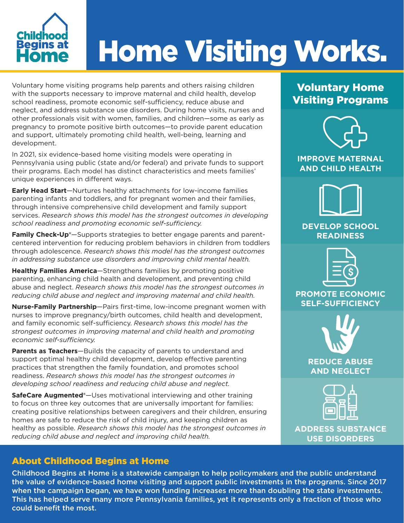

# Home Visiting Works.

Voluntary home visiting programs help parents and others raising children with the supports necessary to improve maternal and child health, develop school readiness, promote economic self-sufficiency, reduce abuse and neglect, and address substance use disorders. During home visits, nurses and other professionals visit with women, families, and children—some as early as pregnancy to promote positive birth outcomes—to provide parent education and support, ultimately promoting child health, well-being, learning and development.

In 2021, six evidence-based home visiting models were operating in Pennsylvania using public (state and/or federal) and private funds to support their programs. Each model has distinct characteristics and meets families' unique experiences in different ways.

**Early Head Start**—Nurtures healthy attachments for low-income families parenting infants and toddlers, and for pregnant women and their families, through intensive comprehensive child development and family support services. *Research shows this model has the strongest outcomes in developing school readiness and promoting economic self-sufficiency.*

**Family Check-Up®**—Supports strategies to better engage parents and parentcentered intervention for reducing problem behaviors in children from toddlers through adolescence. *Research shows this model has the strongest outcomes in addressing substance use disorders and improving child mental health.*

**Healthy Families America**—Strengthens families by promoting positive parenting, enhancing child health and development, and preventing child abuse and neglect. *Research shows this model has the strongest outcomes in reducing child abuse and neglect and improving maternal and child health.*

**Nurse-Family Partnership**—Pairs first-time, low-income pregnant women with nurses to improve pregnancy/birth outcomes, child health and development, and family economic self-sufficiency. *Research shows this model has the strongest outcomes in improving maternal and child health and promoting economic self-sufficiency.*

**Parents as Teachers**—Builds the capacity of parents to understand and support optimal healthy child development, develop effective parenting practices that strengthen the family foundation, and promotes school readiness. *Research shows this model has the strongest outcomes in developing school readiness and reducing child abuse and neglect.*

**SafeCare Augmented®**—Uses motivational interviewing and other training to focus on three key outcomes that are universally important for families: creating positive relationships between caregivers and their children, ensuring homes are safe to reduce the risk of child injury, and keeping children as healthy as possible. *Research shows this model has the strongest outcomes in reducing child abuse and neglect and improving child health.*

### Voluntary Home Visiting Programs



#### **IMPROVE MATERNAL AND CHILD HEALTH**



#### **DEVELOP SCHOOL READINESS**



**PROMOTE ECONOMIC SELF-SUFFICIENCY**



**REDUCE ABUSE AND NEGLECT** 



**ADDRESS SUBSTANCE USE DISORDERS**

#### About Childhood Begins at Home

Childhood Begins at Home is a statewide campaign to help policymakers and the public understand the value of evidence-based home visiting and support public investments in the programs. Since 2017 when the campaign began, we have won funding increases more than doubling the state investments. This has helped serve many more Pennsylvania families, yet it represents only a fraction of those who could benefit the most.